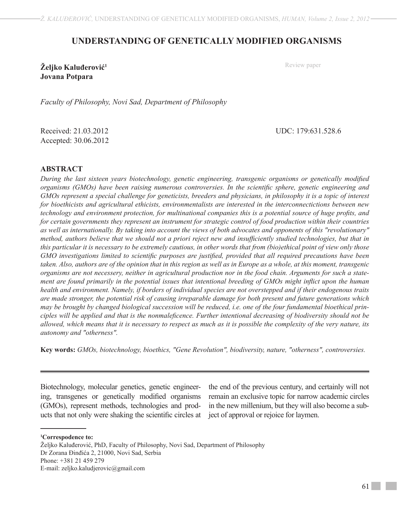## **UNDERSTANDING OF GENETICALLY MODIFIED ORGANISMS**

**Željko Kaluđerović<sup>1</sup> Jovana Potpara**

Review paper

*Faculty of Philosophy, Novi Sad, Department of Philosophy*

Received: 21.03.2012 UDC: 179:631.528.6 Accepted: 30.06.2012

## **ABSTRACT**

*During the last sixteen years biotechnology, genetic engineering, transgenic organisms or genetically modified organisms (GMOs) have been raising numerous controversies. In the scientific sphere, genetic engineering and GMOs represent a special challenge for geneticists, breeders and physicians, in philosophy it is a topic of interest for bioethicists and agricultural ethicists, environmentalists are interested in the interconnectictions between new technology and environment protection, for multinational companies this is a potential source of huge profits, and for certain governments they represent an instrument for strategic control of food production within their countries as well as internationally. By taking into account the views of both advocates and opponents of this "revolutionary" method, authors believe that we should not a priori reject new and insufficiently studied technologies, but that in this particular it is necessary to be extremely cautious, in other words that from (bio)ethical point of view only those GMO investigations limited to scientific purposes are justified, provided that all required precautions have been taken. Also, authors are of the opinion that in this region as well as in Europe as a whole, at this moment, transgenic organisms are not necessery, neither in agricultural production nor in the food chain. Arguments for such a statement are found primarily in the potential issues that intentional breeding of GMOs might inflict upon the human health and environment. Namely, if borders of individual species are not overstepped and if their endogenous traits are made stronger, the potential risk of causing irreparable damage for both present and future generations which may be brought by changed biological succession will be reduced, i.e. one of the four fundamental bioethical principles will be applied and that is the nonmaleficence. Further intentional decreasing of biodiversity should not be allowed, which means that it is necessary to respect as much as it is possible the complexity of the very nature, its autonomy and "otherness".*

**Key words:** *GMOs, biotechnology, bioethics, "Gene Revolution", biodiversity, nature, "otherness", controversies.*

Biotechnology, molecular genetics, genetic engineering, transgenes or genetically modified organisms (GMOs), represent methods, technologies and products that not only were shaking the scientific circles at

the end of the previous century, and certainly will not remain an exclusive topic for narrow academic circles in the new millenium, but they will also become a subject of approval or rejoice for laymen.

**1 Correspodence to:**

Željko Kaluđerović, PhD, Faculty of Philosophy, Novi Sad, Department of Philosophy Dr Zorana Đinđića 2, 21000, Novi Sad, Serbia Phone: +381 21 459 279 E-mail: zeljko.kaludjerovic@gmail.com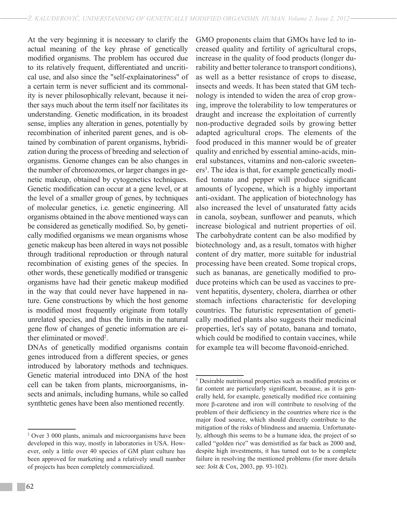At the very beginning it is necessary to clarify the actual meaning of the key phrase of genetically modified organisms. The problem has occured due to its relatively frequent, differentiated and uncritical use, and also since the "self-explainatoriness" of a certain term is never sufficient and its commonality is never philosophically relevant, because it neither says much about the term itself nor facilitates its understanding. Genetic modification, in its broadest sense, implies any alteration in genes, potentially by recombination of inherited parent genes, and is obtained by combination of parent organisms, hybridization during the process of breeding and selection of organisms. Genome changes can be also changes in the number of chromozomes, or larger changes in genetic makeup, obtained by cytogenetics techniques. Genetic modification can occur at a gene level, or at the level of a smaller group of genes, by techniques of molecular genetics, i.e. genetic engineering. All organisms obtained in the above mentioned ways can be considered as genetically modified. So, by genetically modified organisms we mean organisms whose genetic makeup has been altered in ways not possible through traditional reproduction or through natural recombination of existing genes of the species. In other words, these genetically modified or transgenic organisms have had their genetic makeup modified in the way that could never have happened in nature. Gene constructions by which the host genome is modified most frequently originate from totally unrelated species, and thus the limits in the natural gene flow of changes of genetic information are either eliminated or moved<sup>2</sup>.

DNAs of genetically modified organisms contain genes introduced from a different species, or genes introduced by laboratory methods and techniques. Genetic material introduced into DNA of the host cell can be taken from plants, microorganisms, insects and animals, including humans, while so called synthtetic genes have been also mentioned recently.

GMO proponents claim that GMOs have led to increased quality and fertility of agricultural crops, increase in the quality of food products (longer durability and better tolerance to transport conditions), as well as a better resistance of crops to disease, insects and weeds. It has been stated that GM technology is intended to widen the area of crop growing, improve the tolerability to low temperatures or draught and increase the exploitation of currently non-productive degraded soils by growing better adapted agricultural crops. The elements of the food produced in this manner would be of greater quality and enriched by essential amino-acids, mineral substances, vitamins and non-caloric sweeteners<sup>3</sup>. The idea is that, for example genetically modified tomato and pepper will produce significant amounts of lycopene, which is a highly important anti-oxidant. The application of biotechnology has also increased the level of unsaturated fatty acids in canola, soybean, sunflower and peanuts, which increase biological and nutrient properties of oil. The carbohydrate content can be also modified by biotechnology and, as a result, tomatos with higher content of dry matter, more suitable for industrial processing have been created. Some tropical crops, such as bananas, are genetically modified to produce proteins which can be used as vaccines to prevent hepatitis, dysentery, cholera, diarrhea or other stomach infections characteristic for developing countries. The futuristic representation of genetically modified plants also suggests their medicinal properties, let's say of potato, banana and tomato, which could be modified to contain vaccines, while for example tea will become flavonoid-enriched.

<sup>2</sup> Over 3 000 plants, animals and microorganisms have been developed in this way, mostly in laboratories in USA. However, only a little over 40 species of GM plant culture has been approved for marketing and a relatively small number of projects has been completely commercialized.

<sup>3</sup> Desirable nutritional properties such as modified proteins or fat content are particularly significant, because, as it is generally held, for example, genetically modified rice containing more β-carotene and iron will contribute to resolving of the problem of their defficiency in the countries where rice is the major food source, which should directly contribute to the mitigation of the risks of blindness and anaemia. Unfortunately, although this seems to be a humane idea, the project of so called "golden rice" was demistified as far back as 2000 and, despite high investments, it has turned out to be a complete failure in resolving the mentioned problems (for more details see: Jošt & Cox, 2003, pp. 93-102).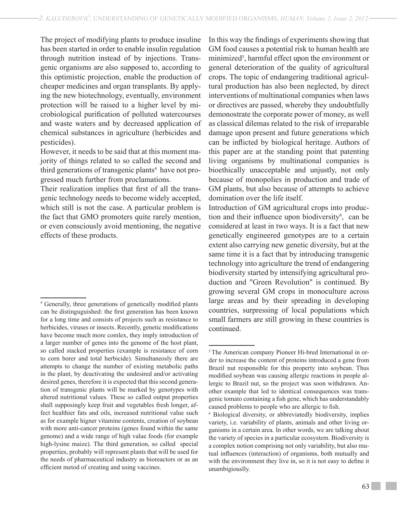The project of modifying plants to produce insuline has been started in order to enable insulin regulation through nutrition instead of by injections. Transgenic organisms are also supposed to, according to this optimistic projection, enable the production of cheaper medicines and organ transplants. By applying the new biotechnology, eventually, environment protection will be raised to a higher level by microbiological purification of polluted watercourses and waste waters and by decreased application of chemical substances in agriculture (herbicides and pesticides).

However, it needs to be said that at this moment majority of things related to so called the second and third generations of transgenic plants<sup>4</sup> have not progressed much further from proclamations.

Their realization implies that first of all the transgenic technology needs to become widely accepted, which still is not the case. A particular problem is the fact that GMO promoters quite rarely mention, or even consciously avoid mentioning, the negative effects of these products.

In this way the findings of experiments showing that GM food causes a potential risk to human health are minimized<sup>5</sup>, harmful effect upon the environment or general deterioration of the quality of agricultural crops. The topic of endangering traditional agricultural production has also been neglected, by direct interventions of multinational companies when laws or directives are passed, whereby they undoubtfully demonostrate the corporate power of money, as well as classical dilemas related to the risk of irreparable damage upon present and future generations which can be inflicted by biological heritage. Authors of this paper are at the standing point that patenting living organisms by multinational companies is bioethically unacceptable and unjustly, not only because of monopolies in production and trade of GM plants, but also because of attempts to achieve domination over the life itself.

Introduction of GM agricultural crops into production and their influence upon biodiversity<sup>6</sup>, can be considered at least in two ways. It is a fact that new genetically engineered genotypes are to a certain extent also carrying new genetic diversity, but at the same time it is a fact that by introducing transgenic technology into agriculture the trend of endangering biodiversity started by intensifying agricultural production and "Green Revolution" is continued. By growing several GM crops in monoculture across large areas and by their spreading in developing countries, surpressing of local populations which small farmers are still growing in these countries is continued.

<sup>4</sup> Generally, three generations of genetically modified plants can be distinguguished: the first generation has been known for a long time and consists of projects such as resistance to herbicides, viruses or insects. Recently, genetic modifications have become much more comlex, they imply introduction of a larger number of genes into the genome of the host plant, so called stacked properties (example is resistance of corn to corn borer and total herbicide). Simultaneosly there are attempts to change the number of existing metabolic paths in the plant, by deactivating the undesired and/or activating desired genes, therefore it is expected that this second generation of transgenic plants will be marked by genotypes with altered nutritional values. These so called output properties shall supposingly keep fruit and vegetables fresh longer, affect healthier fats and oils, increased nutritional value such as for example higner vitamine contents, creation of soybean with more anti-cancer proteins (genes found within the same genome) and a wide range of high value foods (for example high-lysine maize). The third generation, so called special properties, probably will represent plants that will be used for the needs of pharmaceutical industry as bioreactors or as an efficient metod of creating and using vaccines.

<sup>5</sup> The American company Pioneer Hi-bred International in order to increase the content of proteins introduced a gene from Brazil nut responsible for this property into soybean. Thus modified soybean was causing allergic reactions in people allergic to Brazil nut, so the project was soon withdrawn. Another example that led to identical consequences was transgenic tomato containing a fish gene, which has understandably caused problems to people who are allergic to fish.

<sup>6</sup> Biological diversity, or abbreviatedly biodiversity, implies variety, i.e. variability of plants, animals and other living organisms in a certain area. In other words, we are talking about the variety of species in a particular ecosystem. Biodiversity is a complex notion comprising not only variability, but also mutual influences (interaction) of organisms, both mutually and with the environment they live in, so it is not easy to define it unambigiouslly.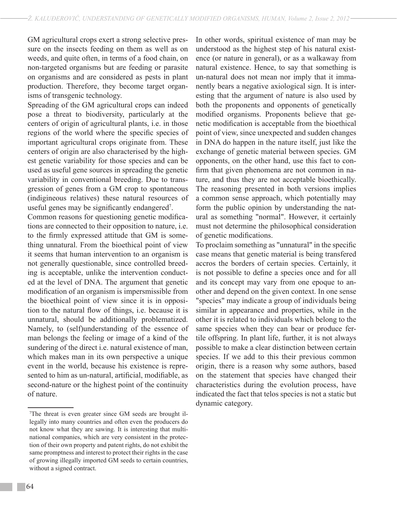GM agricultural crops exert a strong selective pressure on the insects feeding on them as well as on weeds, and quite often, in terms of a food chain, on non-targeted organisms but are feeding or parasite on organisms and are considered as pests in plant production. Therefore, they become target organisms of transgenic technology.

Spreading of the GM agricultural crops can indeed pose a threat to biodiversity, particularly at the centers of origin of agricultural plants, i.e. in those regions of the world where the specific species of important agricultural crops originate from. These centers of origin are also characterised by the highest genetic variability for those species and can be used as useful gene sources in spreading the genetic variability in conventional breeding. Due to transgression of genes from a GM crop to spontaneous (indigineous relatives) these natural resources of useful genes may be significantly endangered<sup>7</sup>.

Common reasons for questioning genetic modifications are connected to their opposition to nature, i.e. to the firmly expressed attitude that GM is something unnatural. From the bioethical point of view it seems that human intervention to an organism is not generally questionable, since controlled breeding is acceptable, unlike the intervention conducted at the level of DNA. The argument that genetic modification of an organism is impersmissible from the bioethical point of view since it is in opposition to the natural flow of things, i.e. because it is unnatural, should be additionally problematized. Namely, to (self)understanding of the essence of man belongs the feeling or image of a kind of the sundering of the direct i.e. natural existence of man, which makes man in its own perspective a unique event in the world, because his existence is represented to him as un-natural, artificial, modifiable, as second-nature or the highest point of the continuity of nature.

In other words, spiritual existence of man may be understood as the highest step of his natural existence (or nature in general), or as a walkaway from natural existence. Hence, to say that something is un-natural does not mean nor imply that it immanently bears a negative axiological sign. It is interesting that the argument of nature is also used by both the proponents and opponents of genetically modified organisms. Proponents believe that genetic modification is acceptable from the bioethical point of view, since unexpected and sudden changes in DNA do happen in the nature itself, just like the exchange of genetic material between species. GM opponents, on the other hand, use this fact to confirm that given phenomena are not common in nature, and thus they are not acceptable bioethically. The reasoning presented in both versions implies a common sense approach, which potentially may form the public opinion by understanding the natural as something "normal". However, it certainly must not determine the philosophical consideration of genetic modifications.

To proclaim something as "unnatural" in the specific case means that genetic material is being transfered accros the borders of certain species. Certainly, it is not possible to define a species once and for all and its concept may vary from one epoque to another and depend on the given context. In one sense "species" may indicate a group of individuals being similar in appearance and properties, while in the other it is related to individuals which belong to the same species when they can bear or produce fertile offspring. In plant life, further, it is not always possible to make a clear distinction between certain species. If we add to this their previous common origin, there is a reason why some authors, based on the statement that species have changed their characteristics during the evolution process, have indicated the fact that telos species is not a static but dynamic category.

<sup>7</sup> The threat is even greater since GM seeds are brought illegally into many countries and often even the producers do not know what they are sawing. It is interesting that multinational companies, which are very consistent in the protection of their own property and patent rights, do not exhibit the same promptness and interest to protect their rights in the case of growing illegally imported GM seeds to certain countries, without a signed contract.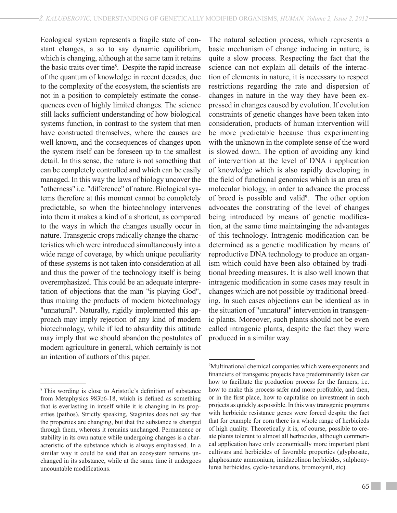Ecological system represents a fragile state of constant changes, a so to say dynamic equilibrium, which is changing, although at the same tam it retains the basic traits over time<sup>8</sup>. Despite the rapid increase of the quantum of knowledge in recent decades, due to the complexity of the ecosystem, the scientists are not in a position to completely estimate the consequences even of highly limited changes. The science still lacks sufficient understanding of how biological systems function, in contrast to the system that men have constructed themselves, where the causes are well known, and the consequences of changes upon the system itself can be foreseen up to the smallest detail. In this sense, the nature is not something that can be completely controlled and which can be easily managed. In this way the laws of biology uncover the "otherness" i.e. "difference" of nature. Biological systems therefore at this moment cannot be completely predictable, so when the biotechnology intervenes into them it makes a kind of a shortcut, as compared to the ways in which the changes usually occur in nature. Transgenic crops radically change the characteristics which were introduced simultaneously into a wide range of coverage, by which unique peculiarity of these systems is not taken into consideration at all and thus the power of the technology itself is being overemphasized. This could be an adequate interpretation of objections that the man "is playing God", thus making the products of modern biotechnology "unnatural". Naturally, rigidly implemented this approach may imply rejection of any kind of modern biotechnology, while if led to absurdity this attitude may imply that we should abandon the postulates of modern agriculture in general, which certainly is not an intention of authors of this paper.

The natural selection process, which represents a basic mechanism of change inducing in nature, is quite a slow process. Respecting the fact that the science can not explain all details of the interaction of elements in nature, it is necessary to respect restrictions regarding the rate and dispersion of changes in nature in the way they have been expressed in changes caused by evolution. If evolution constraints of genetic changes have been taken into consideration, products of human intervention will be more predictable because thus experimenting with the unknown in the complete sense of the word is slowed down. The option of avoiding any kind of intervention at the level of DNA i application of knowledge which is also rapidly developing in the field of functional genomics which is an area of molecular biology, in order to advance the process of breed is possible and valid<sup>9</sup>. The other option advocates the constrating of the level of changes being introduced by means of genetic modification, at the same time maintainging the advantages of this technology. Intragenic modification can be determined as a genetic modification by means of reproductive DNA technology to produce an organism which could have been also obtained by traditional breeding measures. It is also well known that intragenic modification in some cases may result in changes which are not possible by traditional breeding. In such cases objections can be identical as in the situation of "unnatural" intervention in transgenic plants. Moreover, such plants should not be even called intragenic plants, despite the fact they were produced in a similar way.

<sup>&</sup>lt;sup>8</sup>This wording is close to Aristotle's definition of substance from Metaphysics 983b6-18, which is defined as something that is everlasting in intself while it is changing in its properties (pathos). Strictly speaking, Stagirites does not say that the properties are changing, but that the substance is changed through them, whereas it remains unchanged. Permanence or stability in its own nature while undergoing changes is a characteristic of the substance which is always emphasised. In a similar way it could be said that an ecosystem remains unchanged in its substance, while at the same time it undergoes uncountable modifications.

<sup>9</sup> Multinational chemical companies which were exponents and financiers of transgenic projects have predominantly taken car how to facilitate the production process for the farmers, i.e. how to make this process safer and more profitable, and then, or in the first place, how to capitalise on investment in such projects as quickly as possible. In this way transgenic programs with herbicide resistance genes were forced despite the fact that for example for corn there is a whole range of herbicieds of high quality. Theoretically it is, of course, possible to create plants tolerant to almost all herbicides, although commerical application have only economically more important plant cultivars and herbicides of favorable properties (glyphosate, gluphosinate ammonium, imidazolinon herbicides, sulphonylurea herbicides, cyclo-hexandions, bromoxynil, etc).